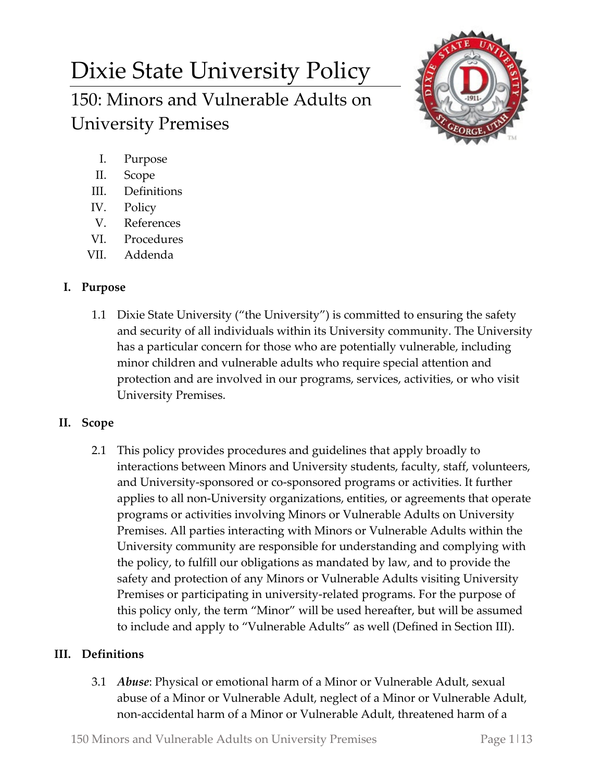# Dixie State University Policy 150: Minors and Vulnerable Adults on University Premises



- I. Purpose
- II. Scope
- III. Definitions
- IV. Policy
- V. References
- VI. Procedures
- VII. Addenda

# **I. Purpose**

1.1 Dixie State University ("the University") is committed to ensuring the safety and security of all individuals within its University community. The University has a particular concern for those who are potentially vulnerable, including minor children and vulnerable adults who require special attention and protection and are involved in our programs, services, activities, or who visit University Premises.

## **II. Scope**

2.1 This policy provides procedures and guidelines that apply broadly to interactions between Minors and University students, faculty, staff, volunteers, and University-sponsored or co-sponsored programs or activities. It further applies to all non-University organizations, entities, or agreements that operate programs or activities involving Minors or Vulnerable Adults on University Premises. All parties interacting with Minors or Vulnerable Adults within the University community are responsible for understanding and complying with the policy, to fulfill our obligations as mandated by law, and to provide the safety and protection of any Minors or Vulnerable Adults visiting University Premises or participating in university-related programs. For the purpose of this policy only, the term "Minor" will be used hereafter, but will be assumed to include and apply to "Vulnerable Adults" as well (Defined in Section III).

## **III. Definitions**

3.1 *Abuse*: Physical or emotional harm of a Minor or Vulnerable Adult, sexual abuse of a Minor or Vulnerable Adult, neglect of a Minor or Vulnerable Adult, non-accidental harm of a Minor or Vulnerable Adult, threatened harm of a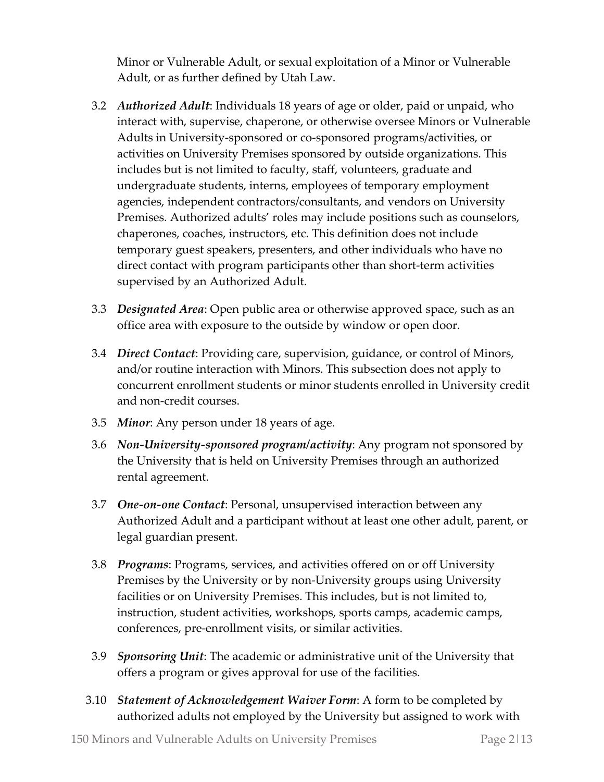Minor or Vulnerable Adult, or sexual exploitation of a Minor or Vulnerable Adult, or as further defined by Utah Law.

- 3.2 *Authorized Adult*: Individuals 18 years of age or older, paid or unpaid, who interact with, supervise, chaperone, or otherwise oversee Minors or Vulnerable Adults in University-sponsored or co-sponsored programs/activities, or activities on University Premises sponsored by outside organizations. This includes but is not limited to faculty, staff, volunteers, graduate and undergraduate students, interns, employees of temporary employment agencies, independent contractors/consultants, and vendors on University Premises. Authorized adults' roles may include positions such as counselors, chaperones, coaches, instructors, etc. This definition does not include temporary guest speakers, presenters, and other individuals who have no direct contact with program participants other than short-term activities supervised by an Authorized Adult.
- 3.3 *Designated Area*: Open public area or otherwise approved space, such as an office area with exposure to the outside by window or open door.
- 3.4 *Direct Contact*: Providing care, supervision, guidance, or control of Minors, and/or routine interaction with Minors. This subsection does not apply to concurrent enrollment students or minor students enrolled in University credit and non-credit courses.
- 3.5 *Minor*: Any person under 18 years of age.
- 3.6 *Non-University-sponsored program/activity*: Any program not sponsored by the University that is held on University Premises through an authorized rental agreement.
- 3.7 *One-on-one Contact*: Personal, unsupervised interaction between any Authorized Adult and a participant without at least one other adult, parent, or legal guardian present.
- 3.8 *Programs*: Programs, services, and activities offered on or off University Premises by the University or by non-University groups using University facilities or on University Premises. This includes, but is not limited to, instruction, student activities, workshops, sports camps, academic camps, conferences, pre-enrollment visits, or similar activities.
- 3.9 *Sponsoring Unit*: The academic or administrative unit of the University that offers a program or gives approval for use of the facilities.
- 3.10 *Statement of Acknowledgement Waiver Form*: A form to be completed by authorized adults not employed by the University but assigned to work with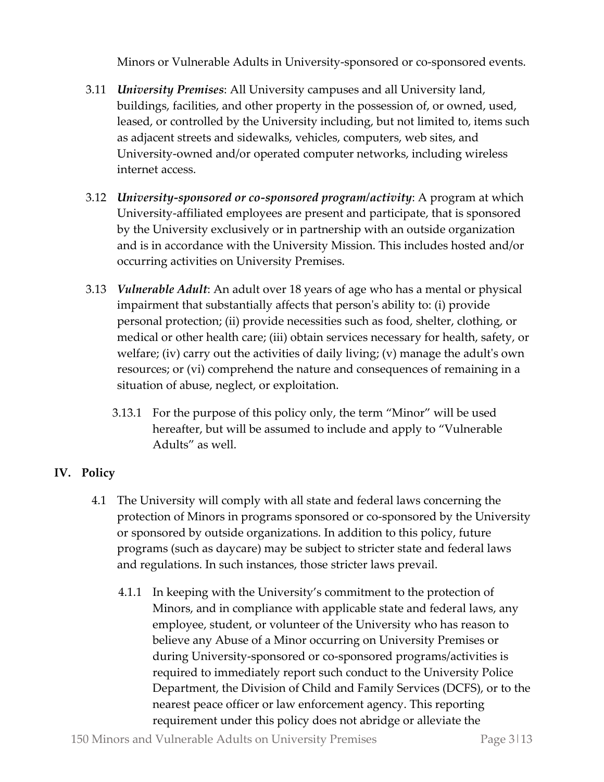Minors or Vulnerable Adults in University-sponsored or co-sponsored events.

- 3.11 *University Premises*: All University campuses and all University land, buildings, facilities, and other property in the possession of, or owned, used, leased, or controlled by the University including, but not limited to, items such as adjacent streets and sidewalks, vehicles, computers, web sites, and University-owned and/or operated computer networks, including wireless internet access.
- 3.12 *University-sponsored or co-sponsored program/activity*: A program at which University-affiliated employees are present and participate, that is sponsored by the University exclusively or in partnership with an outside organization and is in accordance with the University Mission. This includes hosted and/or occurring activities on University Premises.
- 3.13 *Vulnerable Adult*: An adult over 18 years of age who has a mental or physical impairment that substantially affects that person's ability to: (i) provide personal protection; (ii) provide necessities such as food, shelter, clothing, or medical or other health care; (iii) obtain services necessary for health, safety, or welfare; (iv) carry out the activities of daily living; (v) manage the adult's own resources; or (vi) comprehend the nature and consequences of remaining in a situation of abuse, neglect, or exploitation.
	- 3.13.1 For the purpose of this policy only, the term "Minor" will be used hereafter, but will be assumed to include and apply to "Vulnerable Adults" as well.

## **IV. Policy**

- 4.1 The University will comply with all state and federal laws concerning the protection of Minors in programs sponsored or co-sponsored by the University or sponsored by outside organizations. In addition to this policy, future programs (such as daycare) may be subject to stricter state and federal laws and regulations. In such instances, those stricter laws prevail.
	- 4.1.1 In keeping with the University's commitment to the protection of Minors, and in compliance with applicable state and federal laws, any employee, student, or volunteer of the University who has reason to believe any Abuse of a Minor occurring on University Premises or during University-sponsored or co-sponsored programs/activities is required to immediately report such conduct to the University Police Department, the Division of Child and Family Services (DCFS), or to the nearest peace officer or law enforcement agency. This reporting requirement under this policy does not abridge or alleviate the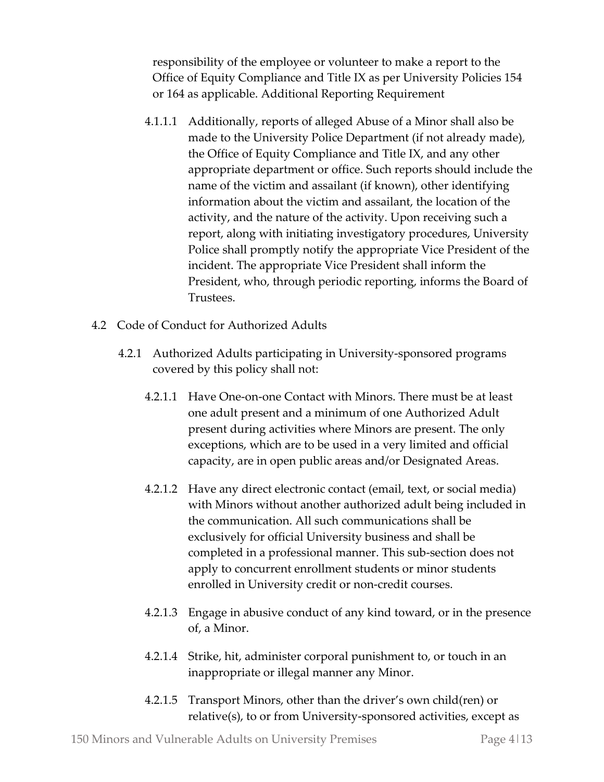responsibility of the employee or volunteer to make a report to the Office of Equity Compliance and Title IX as per University Policies 154 or 164 as applicable. Additional Reporting Requirement

- 4.1.1.1 Additionally, reports of alleged Abuse of a Minor shall also be made to the University Police Department (if not already made), the Office of Equity Compliance and Title IX, and any other appropriate department or office. Such reports should include the name of the victim and assailant (if known), other identifying information about the victim and assailant, the location of the activity, and the nature of the activity. Upon receiving such a report, along with initiating investigatory procedures, University Police shall promptly notify the appropriate Vice President of the incident. The appropriate Vice President shall inform the President, who, through periodic reporting, informs the Board of Trustees.
- 4.2 Code of Conduct for Authorized Adults
	- 4.2.1 Authorized Adults participating in University-sponsored programs covered by this policy shall not:
		- 4.2.1.1 Have One-on-one Contact with Minors. There must be at least one adult present and a minimum of one Authorized Adult present during activities where Minors are present. The only exceptions, which are to be used in a very limited and official capacity, are in open public areas and/or Designated Areas.
		- 4.2.1.2 Have any direct electronic contact (email, text, or social media) with Minors without another authorized adult being included in the communication. All such communications shall be exclusively for official University business and shall be completed in a professional manner. This sub-section does not apply to concurrent enrollment students or minor students enrolled in University credit or non-credit courses.
		- 4.2.1.3 Engage in abusive conduct of any kind toward, or in the presence of, a Minor.
		- 4.2.1.4 Strike, hit, administer corporal punishment to, or touch in an inappropriate or illegal manner any Minor.
		- 4.2.1.5 Transport Minors, other than the driver's own child(ren) or relative(s), to or from University-sponsored activities, except as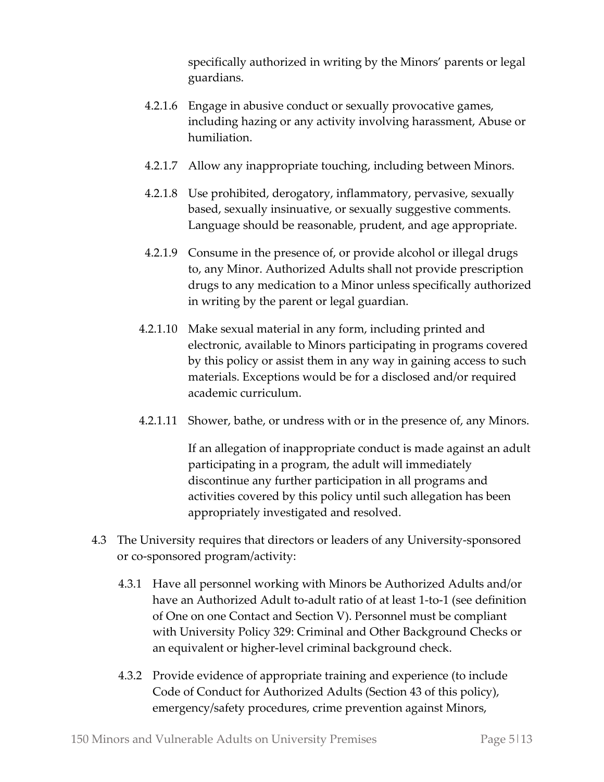specifically authorized in writing by the Minors' parents or legal guardians.

- 4.2.1.6 Engage in abusive conduct or sexually provocative games, including hazing or any activity involving harassment, Abuse or humiliation.
- 4.2.1.7 Allow any inappropriate touching, including between Minors.
- 4.2.1.8 Use prohibited, derogatory, inflammatory, pervasive, sexually based, sexually insinuative, or sexually suggestive comments. Language should be reasonable, prudent, and age appropriate.
- 4.2.1.9 Consume in the presence of, or provide alcohol or illegal drugs to, any Minor. Authorized Adults shall not provide prescription drugs to any medication to a Minor unless specifically authorized in writing by the parent or legal guardian.
- 4.2.1.10 Make sexual material in any form, including printed and electronic, available to Minors participating in programs covered by this policy or assist them in any way in gaining access to such materials. Exceptions would be for a disclosed and/or required academic curriculum.
- 4.2.1.11 Shower, bathe, or undress with or in the presence of, any Minors.

If an allegation of inappropriate conduct is made against an adult participating in a program, the adult will immediately discontinue any further participation in all programs and activities covered by this policy until such allegation has been appropriately investigated and resolved.

- 4.3 The University requires that directors or leaders of any University-sponsored or co-sponsored program/activity:
	- 4.3.1 Have all personnel working with Minors be Authorized Adults and/or have an Authorized Adult to-adult ratio of at least 1-to-1 (see definition of One on one Contact and Section V). Personnel must be compliant with University Policy 329: Criminal and Other Background Checks or an equivalent or higher-level criminal background check.
	- 4.3.2 Provide evidence of appropriate training and experience (to include Code of Conduct for Authorized Adults (Section 43 of this policy), emergency/safety procedures, crime prevention against Minors,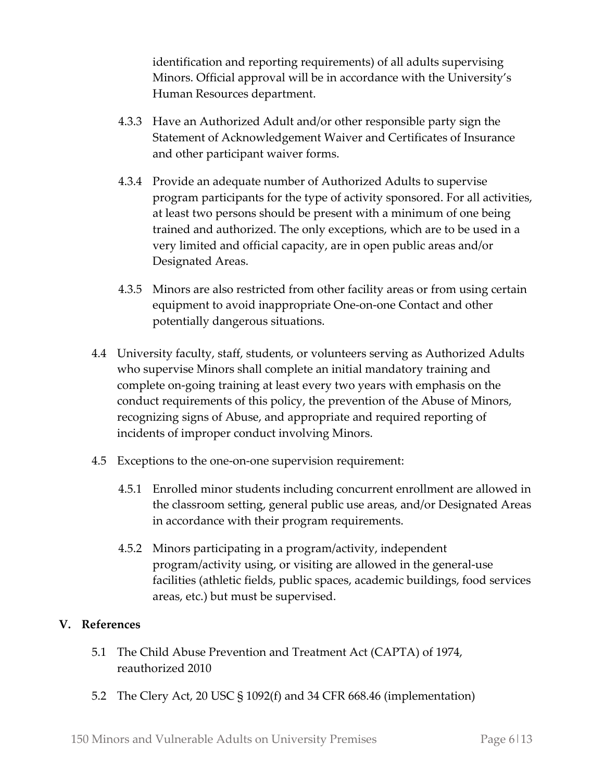identification and reporting requirements) of all adults supervising Minors. Official approval will be in accordance with the University's Human Resources department.

- 4.3.3 Have an Authorized Adult and/or other responsible party sign the Statement of Acknowledgement Waiver and Certificates of Insurance and other participant waiver forms.
- 4.3.4 Provide an adequate number of Authorized Adults to supervise program participants for the type of activity sponsored. For all activities, at least two persons should be present with a minimum of one being trained and authorized. The only exceptions, which are to be used in a very limited and official capacity, are in open public areas and/or Designated Areas.
- 4.3.5 Minors are also restricted from other facility areas or from using certain equipment to avoid inappropriate One-on-one Contact and other potentially dangerous situations.
- 4.4 University faculty, staff, students, or volunteers serving as Authorized Adults who supervise Minors shall complete an initial mandatory training and complete on-going training at least every two years with emphasis on the conduct requirements of this policy, the prevention of the Abuse of Minors, recognizing signs of Abuse, and appropriate and required reporting of incidents of improper conduct involving Minors.
- 4.5 Exceptions to the one-on-one supervision requirement:
	- 4.5.1 Enrolled minor students including concurrent enrollment are allowed in the classroom setting, general public use areas, and/or Designated Areas in accordance with their program requirements.
	- 4.5.2 Minors participating in a program/activity, independent program/activity using, or visiting are allowed in the general-use facilities (athletic fields, public spaces, academic buildings, food services areas, etc.) but must be supervised.

### **V. References**

- 5.1 The Child Abuse Prevention and Treatment Act (CAPTA) of 1974, reauthorized 2010
- 5.2 The Clery Act, 20 USC § 1092(f) and 34 CFR 668.46 (implementation)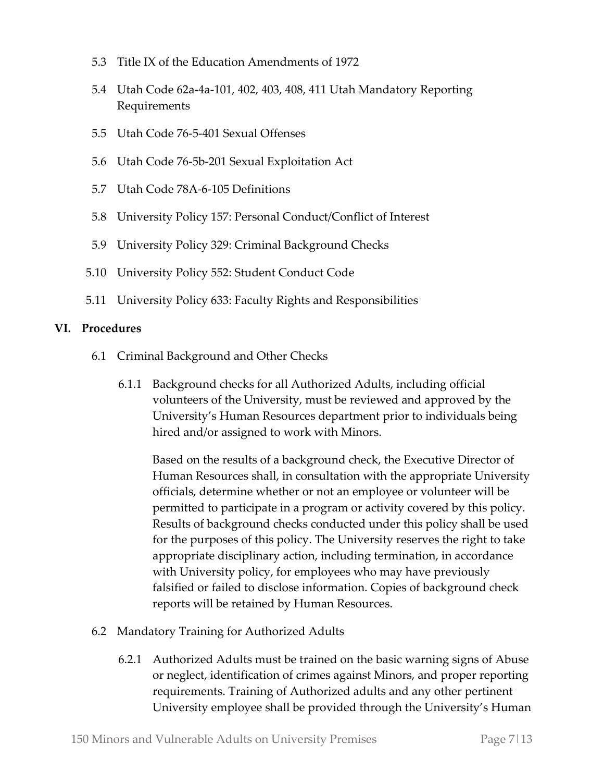- 5.3 Title IX of the Education Amendments of 1972
- 5.4 Utah Code 62a-4a-101, 402, 403, 408, 411 Utah Mandatory Reporting Requirements
- 5.5 Utah Code 76-5-401 Sexual Offenses
- 5.6 Utah Code 76-5b-201 Sexual Exploitation Act
- 5.7 Utah Code 78A-6-105 Definitions
- 5.8 University Policy 157: Personal Conduct/Conflict of Interest
- 5.9 University Policy 329: Criminal Background Checks
- 5.10 University Policy 552: Student Conduct Code
- 5.11 University Policy 633: Faculty Rights and Responsibilities

#### **VI. Procedures**

- 6.1 Criminal Background and Other Checks
	- 6.1.1 Background checks for all Authorized Adults, including official volunteers of the University, must be reviewed and approved by the University's Human Resources department prior to individuals being hired and/or assigned to work with Minors.

Based on the results of a background check, the Executive Director of Human Resources shall, in consultation with the appropriate University officials, determine whether or not an employee or volunteer will be permitted to participate in a program or activity covered by this policy. Results of background checks conducted under this policy shall be used for the purposes of this policy. The University reserves the right to take appropriate disciplinary action, including termination, in accordance with University policy, for employees who may have previously falsified or failed to disclose information. Copies of background check reports will be retained by Human Resources.

- 6.2 Mandatory Training for Authorized Adults
	- 6.2.1 Authorized Adults must be trained on the basic warning signs of Abuse or neglect, identification of crimes against Minors, and proper reporting requirements. Training of Authorized adults and any other pertinent University employee shall be provided through the University's Human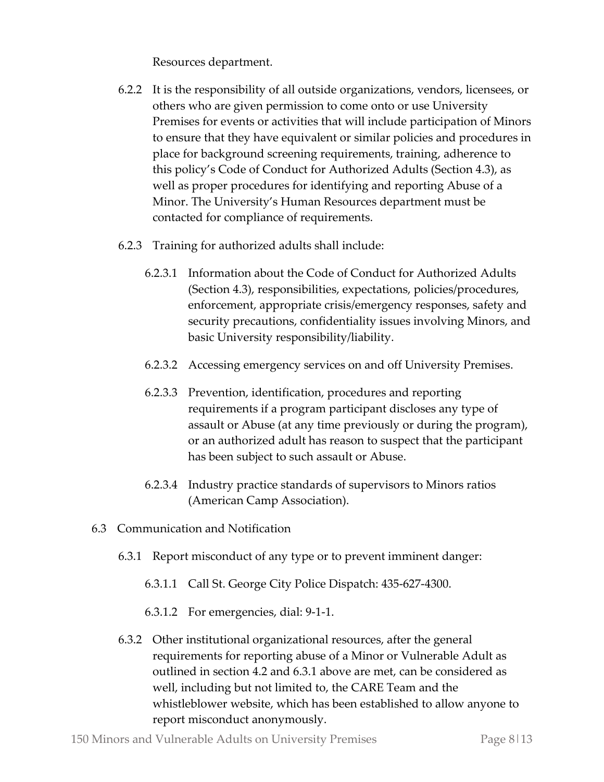Resources department.

- 6.2.2 It is the responsibility of all outside organizations, vendors, licensees, or others who are given permission to come onto or use University Premises for events or activities that will include participation of Minors to ensure that they have equivalent or similar policies and procedures in place for background screening requirements, training, adherence to this policy's Code of Conduct for Authorized Adults (Section 4.3), as well as proper procedures for identifying and reporting Abuse of a Minor. The University's Human Resources department must be contacted for compliance of requirements.
- 6.2.3 Training for authorized adults shall include:
	- 6.2.3.1 Information about the Code of Conduct for Authorized Adults (Section 4.3), responsibilities, expectations, policies/procedures, enforcement, appropriate crisis/emergency responses, safety and security precautions, confidentiality issues involving Minors, and basic University responsibility/liability.
	- 6.2.3.2 Accessing emergency services on and off University Premises.
	- 6.2.3.3 Prevention, identification, procedures and reporting requirements if a program participant discloses any type of assault or Abuse (at any time previously or during the program), or an authorized adult has reason to suspect that the participant has been subject to such assault or Abuse.
	- 6.2.3.4 Industry practice standards of supervisors to Minors ratios (American Camp Association).
- 6.3 Communication and Notification
	- 6.3.1 Report misconduct of any type or to prevent imminent danger:
		- 6.3.1.1 Call St. George City Police Dispatch: 435-627-4300.
		- 6.3.1.2 For emergencies, dial: 9-1-1.
	- 6.3.2 Other institutional organizational resources, after the general requirements for reporting abuse of a Minor or Vulnerable Adult as outlined in section 4.2 and 6.3.1 above are met, can be considered as well, including but not limited to, the CARE Team and the whistleblower website, which has been established to allow anyone to report misconduct anonymously.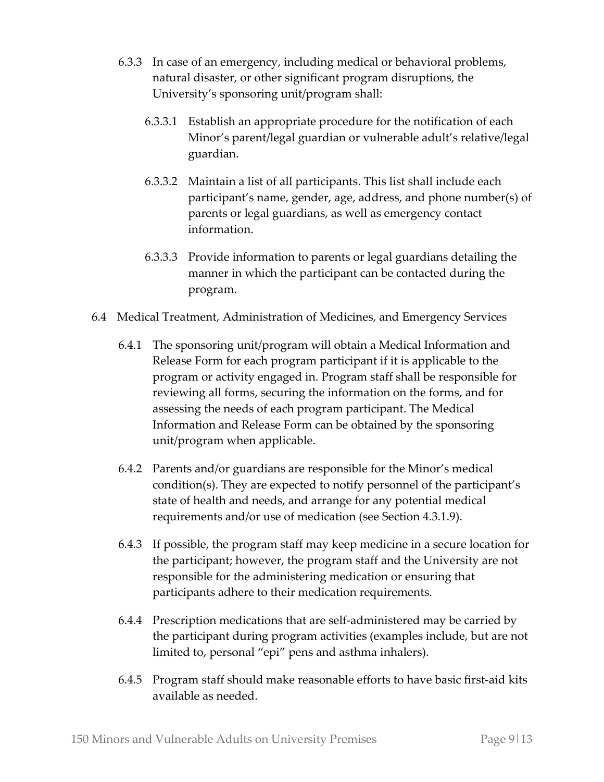- 6.3.3 In case of an emergency, including medical or behavioral problems, natural disaster, or other significant program disruptions, the University's sponsoring unit/program shall:
	- 6.3.3.1 Establish an appropriate procedure for the notification of each Minor's parent/legal guardian or vulnerable adult's relative/legal guardian.
	- 6.3.3.2 Maintain a list of all participants. This list shall include each participant's name, gender, age, address, and phone number(s) of parents or legal guardians, as well as emergency contact information.
	- 6.3.3.3 Provide information to parents or legal guardians detailing the manner in which the participant can be contacted during the program.
- 6.4 Medical Treatment, Administration of Medicines, and Emergency Services
	- 6.4.1 The sponsoring unit/program will obtain a Medical Information and Release Form for each program participant if it is applicable to the program or activity engaged in. Program staff shall be responsible for reviewing all forms, securing the information on the forms, and for assessing the needs of each program participant. The Medical Information and Release Form can be obtained by the sponsoring unit/program when applicable.
	- 6.4.2 Parents and/or guardians are responsible for the Minor's medical condition(s). They are expected to notify personnel of the participant's state of health and needs, and arrange for any potential medical requirements and/or use of medication (see Section 4.3.1.9).
	- 6.4.3 If possible, the program staff may keep medicine in a secure location for the participant; however, the program staff and the University are not responsible for the administering medication or ensuring that participants adhere to their medication requirements.
	- 6.4.4 Prescription medications that are self-administered may be carried by the participant during program activities (examples include, but are not limited to, personal "epi" pens and asthma inhalers).
	- 6.4.5 Program staff should make reasonable efforts to have basic first-aid kits available as needed.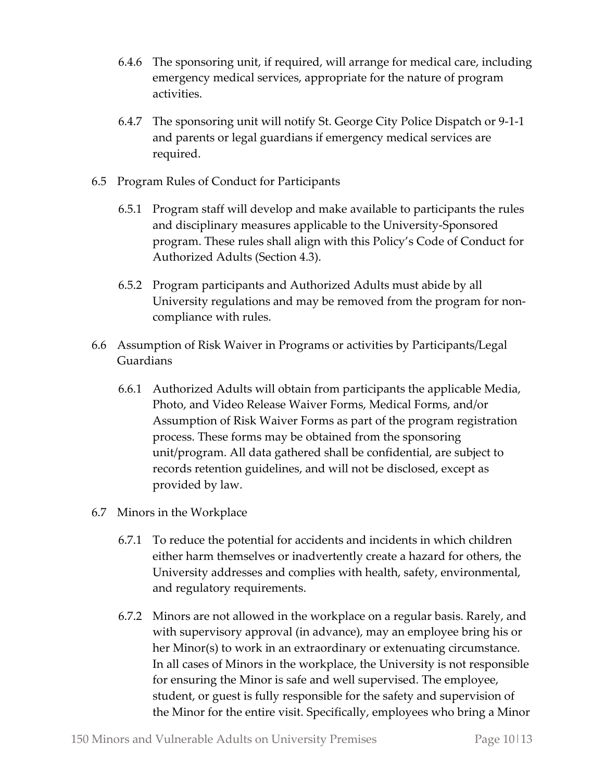- 6.4.6 The sponsoring unit, if required, will arrange for medical care, including emergency medical services, appropriate for the nature of program activities.
- 6.4.7 The sponsoring unit will notify St. George City Police Dispatch or 9-1-1 and parents or legal guardians if emergency medical services are required.
- 6.5 Program Rules of Conduct for Participants
	- 6.5.1 Program staff will develop and make available to participants the rules and disciplinary measures applicable to the University-Sponsored program. These rules shall align with this Policy's Code of Conduct for Authorized Adults (Section 4.3).
	- 6.5.2 Program participants and Authorized Adults must abide by all University regulations and may be removed from the program for noncompliance with rules.
- 6.6 Assumption of Risk Waiver in Programs or activities by Participants/Legal Guardians
	- 6.6.1 Authorized Adults will obtain from participants the applicable Media, Photo, and Video Release Waiver Forms, Medical Forms, and/or Assumption of Risk Waiver Forms as part of the program registration process. These forms may be obtained from the sponsoring unit/program. All data gathered shall be confidential, are subject to records retention guidelines, and will not be disclosed, except as provided by law.
- 6.7 Minors in the Workplace
	- 6.7.1 To reduce the potential for accidents and incidents in which children either harm themselves or inadvertently create a hazard for others, the University addresses and complies with health, safety, environmental, and regulatory requirements.
	- 6.7.2 Minors are not allowed in the workplace on a regular basis. Rarely, and with supervisory approval (in advance), may an employee bring his or her Minor(s) to work in an extraordinary or extenuating circumstance. In all cases of Minors in the workplace, the University is not responsible for ensuring the Minor is safe and well supervised. The employee, student, or guest is fully responsible for the safety and supervision of the Minor for the entire visit. Specifically, employees who bring a Minor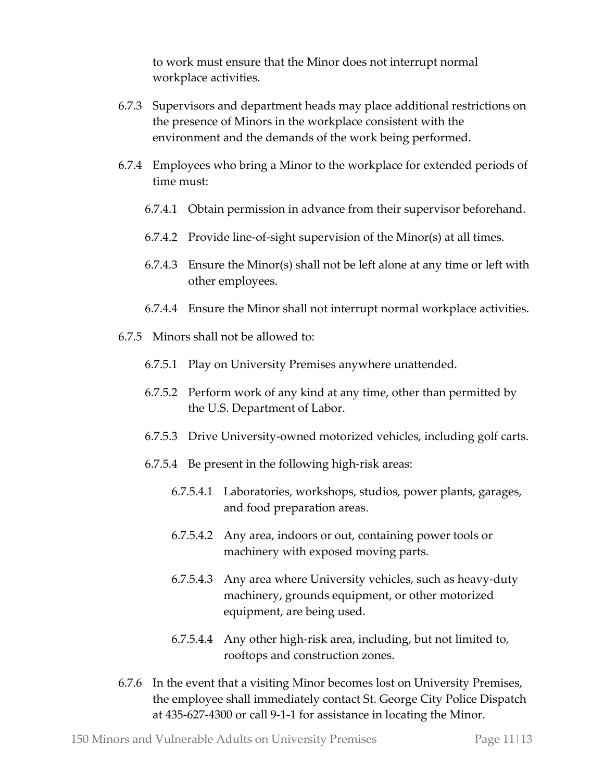to work must ensure that the Minor does not interrupt normal workplace activities.

- 6.7.3 Supervisors and department heads may place additional restrictions on the presence of Minors in the workplace consistent with the environment and the demands of the work being performed.
- 6.7.4 Employees who bring a Minor to the workplace for extended periods of time must:
	- 6.7.4.1 Obtain permission in advance from their supervisor beforehand.
	- 6.7.4.2 Provide line-of-sight supervision of the Minor(s) at all times.
	- 6.7.4.3 Ensure the Minor(s) shall not be left alone at any time or left with other employees.
	- 6.7.4.4 Ensure the Minor shall not interrupt normal workplace activities.
- 6.7.5 Minors shall not be allowed to:
	- 6.7.5.1 Play on University Premises anywhere unattended.
	- 6.7.5.2 Perform work of any kind at any time, other than permitted by the U.S. Department of Labor.
	- 6.7.5.3 Drive University-owned motorized vehicles, including golf carts.
	- 6.7.5.4 Be present in the following high-risk areas:
		- 6.7.5.4.1 Laboratories, workshops, studios, power plants, garages, and food preparation areas.
		- 6.7.5.4.2 Any area, indoors or out, containing power tools or machinery with exposed moving parts.
		- 6.7.5.4.3 Any area where University vehicles, such as heavy-duty machinery, grounds equipment, or other motorized equipment, are being used.
		- 6.7.5.4.4 Any other high-risk area, including, but not limited to, rooftops and construction zones.
- 6.7.6 In the event that a visiting Minor becomes lost on University Premises, the employee shall immediately contact St. George City Police Dispatch at 435-627-4300 or call 9-1-1 for assistance in locating the Minor.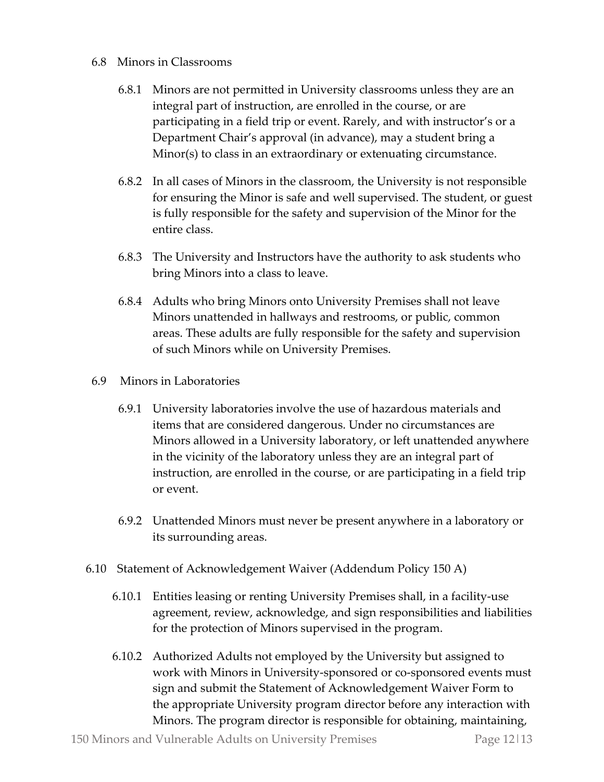#### 6.8 Minors in Classrooms

- 6.8.1 Minors are not permitted in University classrooms unless they are an integral part of instruction, are enrolled in the course, or are participating in a field trip or event. Rarely, and with instructor's or a Department Chair's approval (in advance), may a student bring a Minor(s) to class in an extraordinary or extenuating circumstance.
- 6.8.2 In all cases of Minors in the classroom, the University is not responsible for ensuring the Minor is safe and well supervised. The student, or guest is fully responsible for the safety and supervision of the Minor for the entire class.
- 6.8.3 The University and Instructors have the authority to ask students who bring Minors into a class to leave.
- 6.8.4 Adults who bring Minors onto University Premises shall not leave Minors unattended in hallways and restrooms, or public, common areas. These adults are fully responsible for the safety and supervision of such Minors while on University Premises.
- 6.9 Minors in Laboratories
	- 6.9.1 University laboratories involve the use of hazardous materials and items that are considered dangerous. Under no circumstances are Minors allowed in a University laboratory, or left unattended anywhere in the vicinity of the laboratory unless they are an integral part of instruction, are enrolled in the course, or are participating in a field trip or event.
	- 6.9.2 Unattended Minors must never be present anywhere in a laboratory or its surrounding areas.
- 6.10 Statement of Acknowledgement Waiver (Addendum Policy 150 A)
	- 6.10.1 Entities leasing or renting University Premises shall, in a facility-use agreement, review, acknowledge, and sign responsibilities and liabilities for the protection of Minors supervised in the program.
	- 6.10.2 Authorized Adults not employed by the University but assigned to work with Minors in University-sponsored or co-sponsored events must sign and submit the Statement of Acknowledgement Waiver Form to the appropriate University program director before any interaction with Minors. The program director is responsible for obtaining, maintaining,